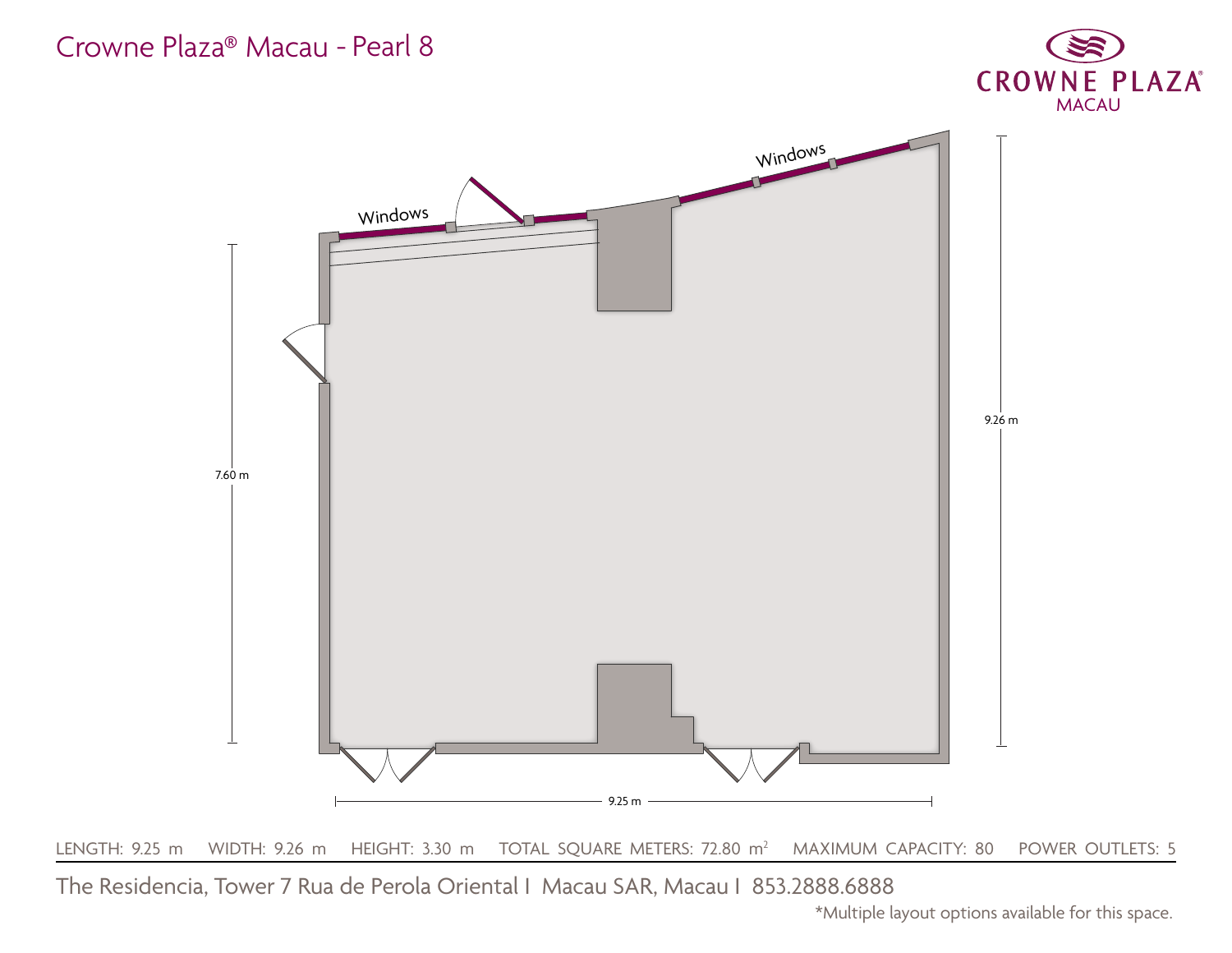

## Crowne Plaza® Macau - Pearl 8

The Residencia, Tower 7 Rua de Perola Oriental I Macau SAR, Macau I 853.2888.6888 \*Multiple layout options available for this space.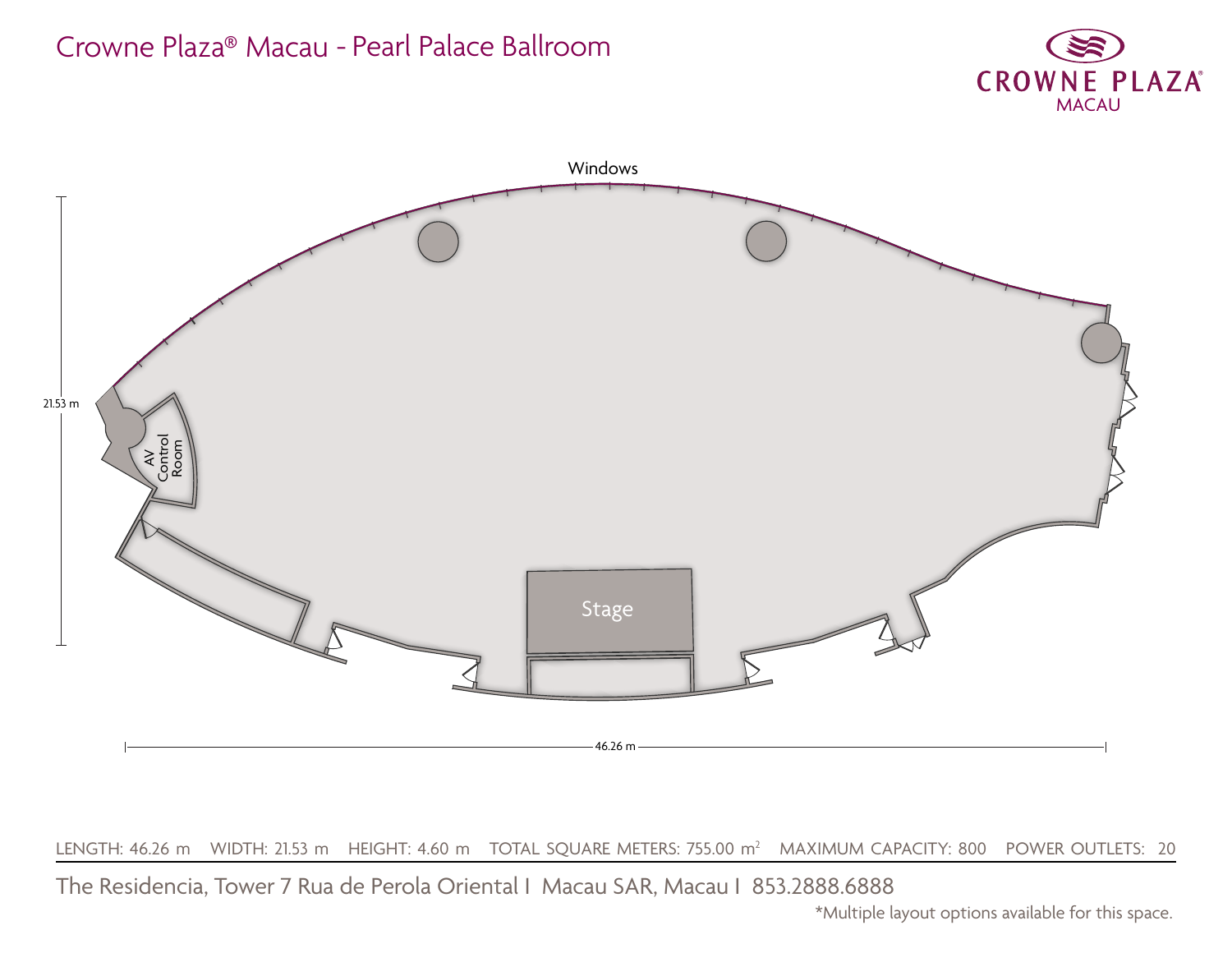



LENGTH: 46.26 m WIDTH: 21.53 m HEIGHT: 4.60 m TOTAL SQUARE METERS: 755.00 m<sup>2</sup> MAXIMUM CAPACITY: 800 POWER OUTLETS: 20

# Crowne Plaza® Macau - Pearl Palace Ballroom

The Residencia, Tower 7 Rua de Perola Oriental I Macau SAR, Macau I 853.2888.6888 \*Multiple layout options available for this space.